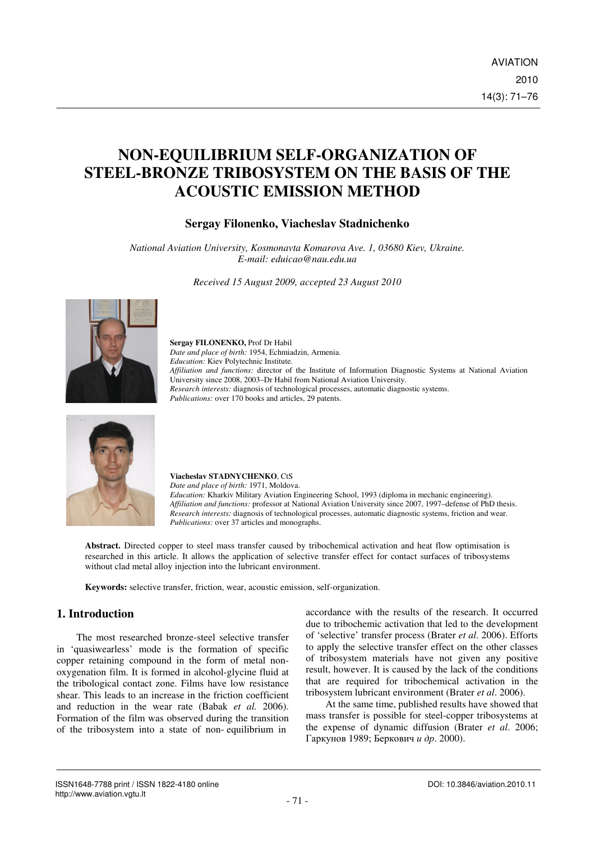# **NON-EQUILIBRIUM SELF-ORGANIZATION OF STEEL-BRONZE TRIBOSYSTEM ON THE BASIS OF THE ACOUSTIC EMISSION METHOD**

### **Sergay Filonenko, Viacheslav Stadnichenko**

*National Aviation University, Kosmonavta Komarova Ave. 1, 03680 Kiev, Ukraine. E-mail: eduicao@nau.edu.ua* 

*Received 15 August 2009, accepted 23 August 2010* 



#### **Sergay FILONENKO,** Prof Dr Habil *Date and place of birth:* 1954, Echmiadzin, Armenia. *Education:* Kiev Polytechnic Institute. *Affiliation and functions:* director of the Institute of Information Diagnostic Systems at National Aviation University since 2008, 2003–Dr Habil from National Aviation University. *Research interests:* diagnosis of technological processes, automatic diagnostic systems. *Publications:* over 170 books and articles, 29 patents.



**Viacheslav STADNYCHENKO**, CtS *Date and place of birth:* 1971, Moldova. *Education:* Kharkiv Military Aviation Engineering School, 1993 (diploma in mechanic engineering). *Affiliation and functions:* professor at National Aviation University since 2007, 1997–defense of PhD thesis. *Research interests:* diagnosis of technological processes, automatic diagnostic systems, friction and wear. *Publications:* over 37 articles and monographs.

**Abstract.** Directed copper to steel mass transfer caused by tribochemical activation and heat flow optimisation is researched in this article. It allows the application of selective transfer effect for contact surfaces of tribosystems without clad metal alloy injection into the lubricant environment.

**Keywords:** selective transfer, friction, wear, acoustic emission, self-organization.

## **1. Introduction**

The most researched bronze-steel selective transfer in 'quasiwearless' mode is the formation of specific copper retaining compound in the form of metal nonoxygenation film. It is formed in alcohol-glycine fluid at the tribological contact zone. Films have low resistance shear. This leads to an increase in the friction coefficient and reduction in the wear rate (Babak *et al.* 2006). Formation of the film was observed during the transition of the tribosystem into a state of non- equilibrium in

accordance with the results of the research. It occurred due to tribochemic activation that led to the development of 'selective' transfer process (Brater *et al*. 2006). Efforts to apply the selective transfer effect on the other classes of tribosystem materials have not given any positive result, however. It is caused by the lack of the conditions that are required for tribochemical activation in the tribosystem lubricant environment (Brater *et al*. 2006).

At the same time, published results have showed that mass transfer is possible for steel-copper tribosystems at the expense of dynamic diffusion (Brater *et al*. 2006; Гаркунов 1989; Беркович и др. 2000).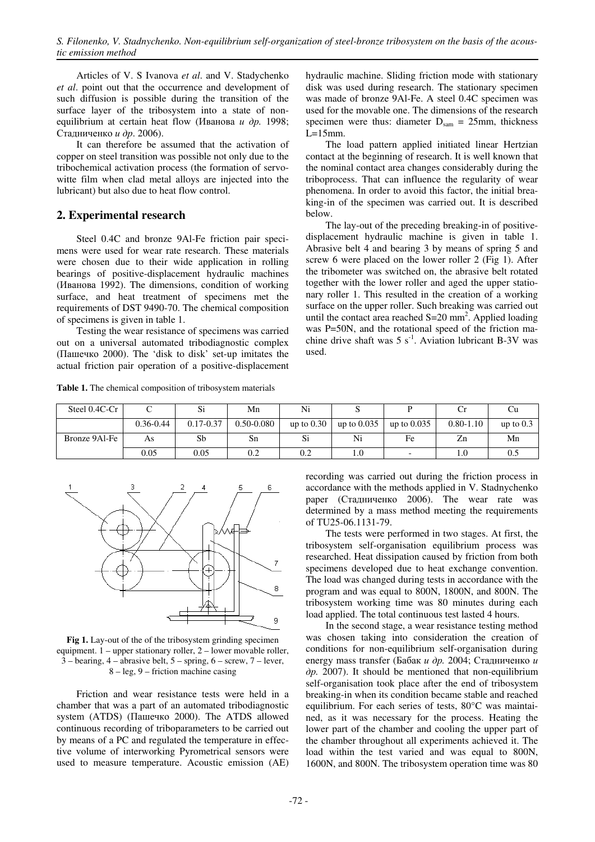Articles of V. S Ivanova *et al*. and V. Stadychenko *et al*. point out that the occurrence and development of such diffusion is possible during the transition of the surface layer of the tribosystem into a state of nonequilibrium at certain heat flow (Иванова и др*.* 1998; Стадниченко и др. 2006).

It can therefore be assumed that the activation of copper on steel transition was possible not only due to the tribochemical activation process (the formation of servowitte film when clad metal alloys are injected into the lubricant) but also due to heat flow control.

### **2. Experimental research**

Steel 0.4C and bronze 9Al-Fe friction pair specimens were used for wear rate research. These materials were chosen due to their wide application in rolling bearings of positive-displacement hydraulic machines (Иванова 1992). The dimensions, condition of working surface, and heat treatment of specimens met the requirements of DST 9490-70. The chemical composition of specimens is given in table 1.

Testing the wear resistance of specimens was carried out on a universal automated tribodiagnostic complex (Пашечко 2000). The 'disk to disk' set-up imitates the actual friction pair operation of a positive-displacement

**Table 1.** The chemical composition of tribosystem materials

hydraulic machine. Sliding friction mode with stationary disk was used during research. The stationary specimen was made of bronze 9Al-Fe. A steel 0.4C specimen was used for the movable one. The dimensions of the research specimen were thus: diameter  $D_{\text{sam}} = 25$ mm, thickness  $L=15$ mm.

The load pattern applied initiated linear Hertzian contact at the beginning of research. It is well known that the nominal contact area changes considerably during the triboprocess. That can influence the regularity of wear phenomena. In order to avoid this factor, the initial breaking-in of the specimen was carried out. It is described below.

The lay-out of the preceding breaking-in of positivedisplacement hydraulic machine is given in table 1. Abrasive belt 4 and bearing 3 by means of spring 5 and screw 6 were placed on the lower roller 2 (Fig 1). After the tribometer was switched on, the abrasive belt rotated together with the lower roller and aged the upper stationary roller 1. This resulted in the creation of a working surface on the upper roller. Such breaking was carried out until the contact area reached  $S=20$  mm<sup>2</sup>. Applied loading was P=50N, and the rotational speed of the friction machine drive shaft was  $5 \text{ s}^{-1}$ . Aviation lubricant B-3V was used.

| Steel 0.4C-Cr |               | Si            | Mn             | Ni           |               |                          |               |             |
|---------------|---------------|---------------|----------------|--------------|---------------|--------------------------|---------------|-------------|
|               | $0.36 - 0.44$ | $0.17 - 0.37$ | $0.50 - 0.080$ | up to $0.30$ | up to $0.035$ | up to $0.035$            | $0.80 - 1.10$ | up to $0.3$ |
| Bronze 9Al-Fe | As            | Sb            | Sn             | Si           | Ni            | Fe                       | Zn            | Mn          |
|               | 0.05          | 0.05          | $_{\rm 0.2}$   | 0.2          | 1.U           | $\overline{\phantom{0}}$ |               | $0.5\,$     |



Fig 1. Lay-out of the of the tribosystem grinding specimen equipment. 1 – upper stationary roller, 2 – lower movable roller, 3 – bearing, 4 – abrasive belt, 5 – spring, 6 – screw, 7 – lever, 8 – leg, 9 – friction machine casing

Friction and wear resistance tests were held in a chamber that was a part of an automated tribodiagnostic system (ATDS) (Пашечко 2000). The ATDS allowed continuous recording of triboparameters to be carried out by means of a PC and regulated the temperature in effective volume of interworking Pyrometrical sensors were used to measure temperature. Acoustic emission (AE)

recording was carried out during the friction process in accordance with the methods applied in V. Stadnychenko paper (Стадниченко 2006). The wear rate was determined by a mass method meeting the requirements of ТU25-06.1131-79.

The tests were performed in two stages. At first, the tribosystem self-organisation equilibrium process was researched. Heat dissipation caused by friction from both specimens developed due to heat exchange convention. The load was changed during tests in accordance with the program and was equal to 800N, 1800N, and 800N. The tribosystem working time was 80 minutes during each load applied. The total continuous test lasted 4 hours.

In the second stage, a wear resistance testing method was chosen taking into consideration the creation of conditions for non-equilibrium self-organisation during energy mass transfer (Бабак и др*.* 2004; Стадниченко и др*.* 2007). It should be mentioned that non-equilibrium self-organisation took place after the end of tribosystem breaking-in when its condition became stable and reached equilibrium. For each series of tests, 80°C was maintained, as it was necessary for the process. Heating the lower part of the chamber and cooling the upper part of the chamber throughout all experiments achieved it. The load within the test varied and was equal to 800N, 1600N, and 800N. The tribosystem operation time was 80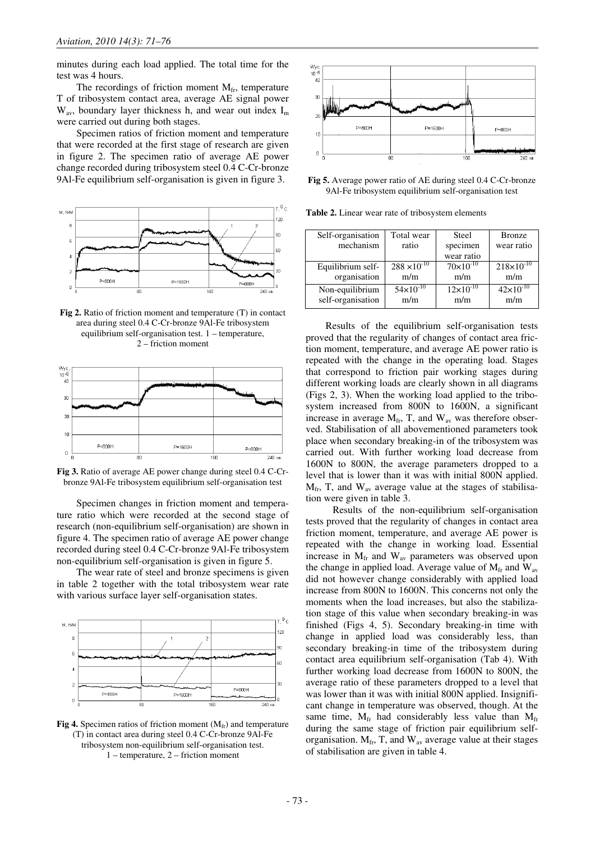minutes during each load applied. The total time for the test was 4 hours.

The recordings of friction moment  $M_{fr}$ , temperature T of tribosystem contact area, average AE signal power  $W_{av}$ , boundary layer thickness h, and wear out index  $I_m$ were carried out during both stages.

Specimen ratios of friction moment and temperature that were recorded at the first stage of research are given in figure 2. The specimen ratio of average AE power change recorded during tribosystem steel 0.4 C-Cr-bronze 9Al-Fe equilibrium self-organisation is given in figure 3.



**Fig 2.** Ratio of friction moment and temperature (T) in contact area during steel 0.4 C-Cr-bronze 9Al-Fe tribosystem equilibrium self-organisation test. 1 – temperature, 2 – friction moment



**Fig 3.** Ratio of average AE power change during steel 0.4 C-Crbronze 9Al-Fe tribosystem equilibrium self-organisation test

Specimen changes in friction moment and temperature ratio which were recorded at the second stage of research (non-equilibrium self-organisation) are shown in figure 4. The specimen ratio of average AE power change recorded during steel 0.4 C-Cr-bronze 9Al-Fe tribosystem non-equilibrium self-organisation is given in figure 5.

The wear rate of steel and bronze specimens is given in table 2 together with the total tribosystem wear rate with various surface layer self-organisation states.



Fig 4. Specimen ratios of friction moment (M<sub>fr</sub>) and temperature (T) in contact area during steel 0.4 C-Cr-bronze 9Al-Fe tribosystem non-equilibrium self-organisation test. 1 – temperature, 2 – friction moment



**Fig 5.** Average power ratio of AE during steel 0.4 C-Cr-bronze 9Al-Fe tribosystem equilibrium self-organisation test

**Table 2.** Linear wear rate of tribosystem elements

| Self-organisation | Total wear            | Steel                | <b>Bronze</b>       |
|-------------------|-----------------------|----------------------|---------------------|
| mechanism         | ratio                 | specimen             | wear ratio          |
|                   |                       | wear ratio           |                     |
| Equilibrium self- | $288 \times 10^{-10}$ | $70 \times 10^{-10}$ | $218\times10^{-10}$ |
| organisation      | m/m                   | m/m                  | m/m                 |
| Non-equilibrium   | $54 \times 10^{-10}$  | $12\times10^{-10}$   | $42\times10^{-10}$  |
| self-organisation | m/m                   | m/m                  | m/m                 |

Results of the equilibrium self-organisation tests proved that the regularity of changes of contact area friction moment, temperature, and average AE power ratio is repeated with the change in the operating load. Stages that correspond to friction pair working stages during different working loads are clearly shown in all diagrams (Figs 2, 3). When the working load applied to the tribosystem increased from 800N to 1600N, a significant increase in average  $M_{fr}$ , T, and  $W_{av}$  was therefore observed. Stabilisation of all abovementioned parameters took place when secondary breaking-in of the tribosystem was carried out. With further working load decrease from 1600N to 800N, the average parameters dropped to a level that is lower than it was with initial 800N applied.  $M_{fr}$ , T, and  $W_{av}$  average value at the stages of stabilisation were given in table 3.

Results of the non-equilibrium self-organisation tests proved that the regularity of changes in contact area friction moment, temperature, and average AE power is repeated with the change in working load. Essential increase in  $M_{\text{fr}}$  and  $W_{\text{av}}$  parameters was observed upon the change in applied load. Average value of  $M_{fr}$  and  $W_{av}$ did not however change considerably with applied load increase from 800N to 1600N. This concerns not only the moments when the load increases, but also the stabilization stage of this value when secondary breaking-in was finished (Figs 4, 5). Secondary breaking-in time with change in applied load was considerably less, than secondary breaking-in time of the tribosystem during contact area equilibrium self-organisation (Tab 4). With further working load decrease from 1600N to 800N, the average ratio of these parameters dropped to a level that was lower than it was with initial 800N applied. Insignificant change in temperature was observed, though. At the same time,  $M_{fr}$  had considerably less value than  $M_{fr}$ during the same stage of friction pair equilibrium selforganisation.  $M_{fr}$ , T, and  $W_{av}$  average value at their stages of stabilisation are given in table 4.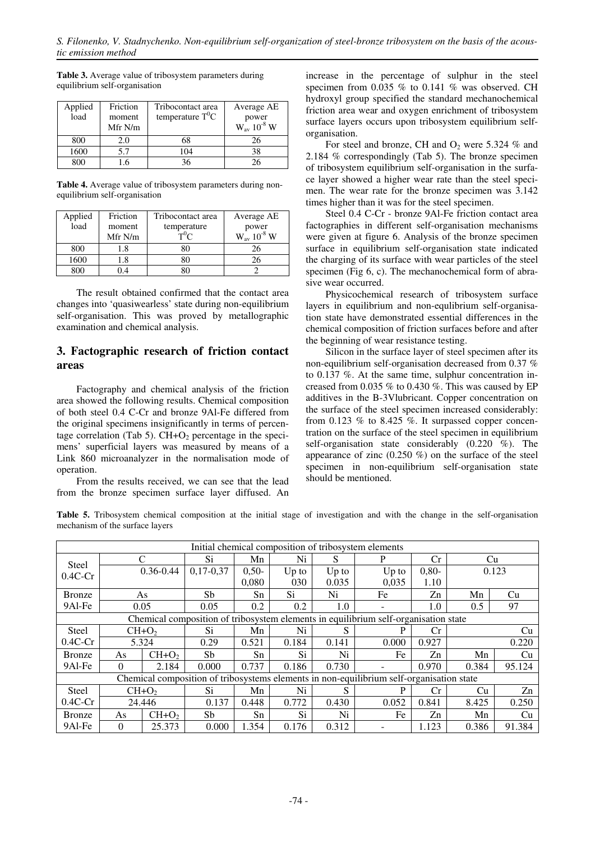**Table 3.** Average value of tribosystem parameters during equilibrium self-organisation

| Applied<br>load | Friction<br>moment<br>Mfr N/m | Tribocontact area<br>temperature $T^0C$ | Average AE<br>power<br>$W_{av}$ 10 <sup>-8</sup> W |
|-----------------|-------------------------------|-----------------------------------------|----------------------------------------------------|
| 800             | 2.0                           | 68                                      | 26                                                 |
| 1600            | 5.7                           | 104                                     | 38                                                 |
| 800             | .6                            | 36                                      | 26                                                 |

**Table 4.** Average value of tribosystem parameters during nonequilibrium self-organisation

| Applied | Friction | Tribocontact area | Average AE                  |
|---------|----------|-------------------|-----------------------------|
| load    | moment   | temperature       | power<br>$W_{av} 10^{-8} W$ |
|         | Mfr N/m  | $T^{0}C$          |                             |
| 800     | .8       |                   | 26                          |
| 1600    |          |                   |                             |
|         |          |                   |                             |

The result obtained confirmed that the contact area changes into 'quasiwearless' state during non-equilibrium self-organisation. This was proved by metallographic examination and chemical analysis.

### **3. Factographic research of friction contact areas**

Factography and chemical analysis of the friction area showed the following results. Chemical composition of both steel 0.4 C-Cr and bronze 9Al-Fe differed from the original specimens insignificantly in terms of percentage correlation (Tab 5).  $CH+O<sub>2</sub>$  percentage in the specimens' superficial layers was measured by means of a Link 860 microanalyzer in the normalisation mode of operation.

From the results received, we can see that the lead from the bronze specimen surface layer diffused. An

increase in the percentage of sulphur in the steel specimen from 0.035 % to 0.141 % was observed. CH hydroxyl group specified the standard mechanochemical friction area wear and oxygen enrichment of tribosystem surface layers occurs upon tribosystem equilibrium selforganisation.

For steel and bronze, CH and  $O_2$  were 5.324 % and 2.184 % correspondingly (Tab 5). The bronze specimen of tribosystem equilibrium self-organisation in the surface layer showed a higher wear rate than the steel specimen. The wear rate for the bronze specimen was 3.142 times higher than it was for the steel specimen.

Steel 0.4 C-Cr - bronze 9Al-Fe friction contact area factographies in different self-organisation mechanisms were given at figure 6. Analysis of the bronze specimen surface in equilibrium self-organisation state indicated the charging of its surface with wear particles of the steel specimen (Fig 6, c). The mechanochemical form of abrasive wear occurred.

Physicochemical research of tribosystem surface layers in equilibrium and non-equlibrium self-organisation state have demonstrated essential differences in the chemical composition of friction surfaces before and after the beginning of wear resistance testing.

Silicon in the surface layer of steel specimen after its non-equilibrium self-organisation decreased from 0.37 % to 0.137 %. At the same time, sulphur concentration increased from 0.035 % to 0.430 %. This was caused by EP additives in the B-3Vlubricant. Copper concentration on the surface of the steel specimen increased considerably: from 0.123  $%$  to 8.425  $%$ . It surpassed copper concentration on the surface of the steel specimen in equilibrium self-organisation state considerably  $(0.220 \degree \%)$ . The appearance of zinc  $(0.250 \%)$  on the surface of the steel specimen in non-equilibrium self-organisation state should be mentioned.

**Table 5.** Tribosystem chemical composition at the initial stage of investigation and with the change in the self-organisation mechanism of the surface layers

| Initial chemical composition of tribosystem elements                                     |               |         |             |         |         |         |                          |         |           |        |
|------------------------------------------------------------------------------------------|---------------|---------|-------------|---------|---------|---------|--------------------------|---------|-----------|--------|
| Steel                                                                                    |               |         | Si          | Mn      | Ni      | S       |                          | Cr      | Cu        |        |
| $0.4C$ -Cr                                                                               | $0.36 - 0.44$ |         | $0,17-0,37$ | $0.50-$ | $Up$ to | $Up$ to | $Up$ to                  | $0,80-$ | 0.123     |        |
|                                                                                          |               |         |             | 0.080   | 030     | 0.035   | 0.035                    | 1.10    |           |        |
| Bronze                                                                                   |               | As      | Sb          | Sn      | Si      | Ni      | Fe                       | Zn      | Mn        | Cu     |
| 9Al-Fe                                                                                   |               | 0.05    | 0.05        | 0.2     | 0.2     | 1.0     | $\overline{\phantom{0}}$ | 1.0     | 97<br>0.5 |        |
| Chemical composition of tribosystem elements in equilibrium self-organisation state      |               |         |             |         |         |         |                          |         |           |        |
| <b>Steel</b>                                                                             |               | $CH+O2$ | Si          | Mn      | Ni      | S       |                          | Cr      | Cu        |        |
| $0.4C$ -Cr                                                                               |               | 5.324   | 0.29        | 0.521   | 0.184   | 0.141   | 0.000                    | 0.927   | 0.220     |        |
| Bronze                                                                                   | As            | $CH+O2$ | Sb.         | Sn      | Si      | Ni      | Fe                       | Zn      | Mn        | Cu     |
| 9Al-Fe                                                                                   | $\Omega$      | 2.184   | 0.000       | 0.737   | 0.186   | 0.730   |                          | 0.970   | 0.384     | 95.124 |
| Chemical composition of tribosystems elements in non-equilibrium self-organisation state |               |         |             |         |         |         |                          |         |           |        |
| Steel                                                                                    | $CH+O2$       |         | Si          | Mn      | Ni      |         | P                        | Сr      | Cu        | Zn     |
| $0.4C$ -Cr                                                                               |               | 24.446  | 0.137       | 0.448   | 0.772   | 0.430   | 0.052                    | 0.841   | 8.425     | 0.250  |
| <b>Bronze</b>                                                                            | As            | $CH+O2$ | Sb          | Sn      | Si      | Ni      | Fe                       | Zn      | Mn        | Cu     |
| 9Al-Fe                                                                                   | $\Omega$      | 25.373  | 0.000       | 1.354   | 0.176   | 0.312   |                          | 1.123   | 0.386     | 91.384 |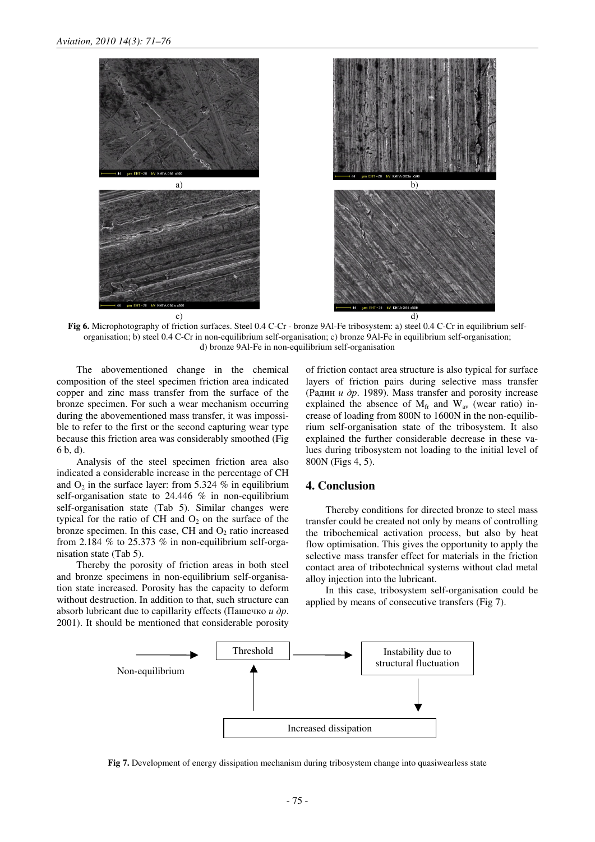

**Fig 6.** Microphotography of friction surfaces. Steel 0.4 C-Cr - bronze 9Al-Fe tribosystem: a) steel 0.4 C-Cr in equilibrium selforganisation; b) steel 0.4 C-Cr in non-equilibrium self-organisation; c) bronze 9Al-Fe in equilibrium self-organisation; d) bronze 9Al-Fe in non-equilibrium self-organisation

The abovementioned change in the chemical composition of the steel specimen friction area indicated copper and zinc mass transfer from the surface of the bronze specimen. For such a wear mechanism occurring during the abovementioned mass transfer, it was impossible to refer to the first or the second capturing wear type because this friction area was considerably smoothed (Fig 6 b, d).

Analysis of the steel specimen friction area also indicated a considerable increase in the percentage of CH and  $O_2$  in the surface layer: from 5.324 % in equilibrium self-organisation state to 24.446 % in non-equilibrium self-organisation state (Tab 5). Similar changes were typical for the ratio of CH and  $O_2$  on the surface of the bronze specimen. In this case, CH and  $O_2$  ratio increased from 2.184 % to 25.373 % in non-equilibrium self-organisation state (Tab 5).

Thereby the porosity of friction areas in both steel and bronze specimens in non-equilibrium self-organisation state increased. Porosity has the capacity to deform without destruction. In addition to that, such structure can absorb lubricant due to capillarity effects (Пашечко  $u \, \partial p$ . 2001). It should be mentioned that considerable porosity of friction contact area structure is also typical for surface layers of friction pairs during selective mass transfer (Радин  $u$  др. 1989). Mass transfer and porosity increase explained the absence of  $M_{fr}$  and  $W_{av}$  (wear ratio) increase of loading from 800N to 1600N in the non-equilibrium self-organisation state of the tribosystem. It also explained the further considerable decrease in these values during tribosystem not loading to the initial level of 800N (Figs 4, 5).

#### **4. Conclusion**

Thereby conditions for directed bronze to steel mass transfer could be created not only by means of controlling the tribochemical activation process, but also by heat flow optimisation. This gives the opportunity to apply the selective mass transfer effect for materials in the friction contact area of tribotechnical systems without clad metal alloy injection into the lubricant.

In this case, tribosystem self-organisation could be applied by means of consecutive transfers (Fig 7).



**Fig 7.** Development of energy dissipation mechanism during tribosystem change into quasiwearless state